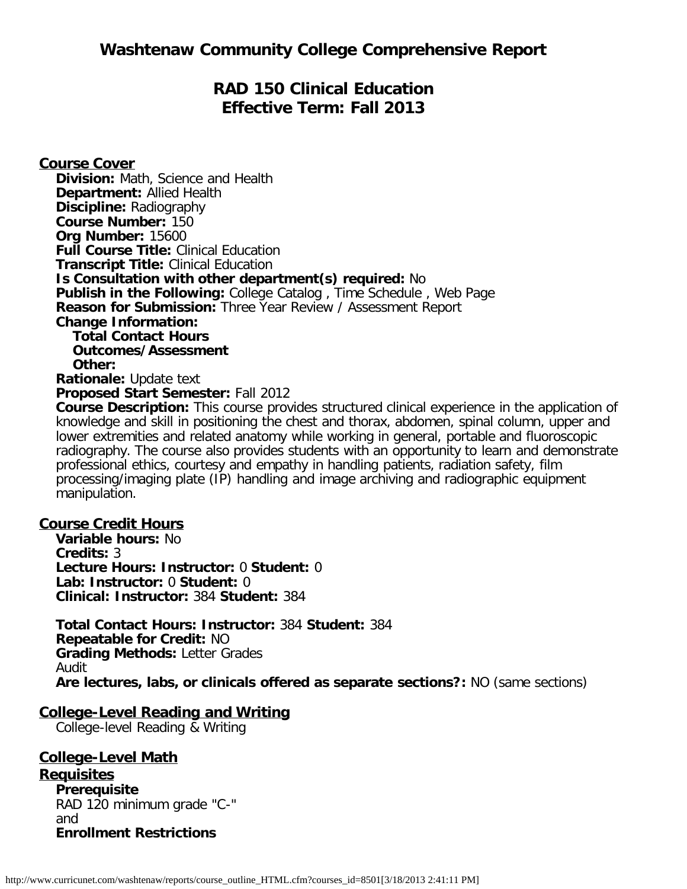# **RAD 150 Clinical Education Effective Term: Fall 2013**

**Course Cover Division:** Math, Science and Health **Department:** Allied Health **Discipline:** Radiography **Course Number:** 150 **Org Number:** 15600 **Full Course Title:** Clinical Education **Transcript Title:** Clinical Education **Is Consultation with other department(s) required:** No **Publish in the Following:** College Catalog , Time Schedule , Web Page **Reason for Submission:** Three Year Review / Assessment Report **Change Information: Total Contact Hours Outcomes/Assessment Other: Rationale:** Update text **Proposed Start Semester:** Fall 2012 **Course Description:** This course provides structured clinical experience in the application of

knowledge and skill in positioning the chest and thorax, abdomen, spinal column, upper and lower extremities and related anatomy while working in general, portable and fluoroscopic radiography. The course also provides students with an opportunity to learn and demonstrate professional ethics, courtesy and empathy in handling patients, radiation safety, film processing/imaging plate (IP) handling and image archiving and radiographic equipment manipulation.

## **Course Credit Hours**

**Variable hours:** No **Credits:** 3 **Lecture Hours: Instructor:** 0 **Student:** 0 **Lab: Instructor:** 0 **Student:** 0 **Clinical: Instructor:** 384 **Student:** 384

**Total Contact Hours: Instructor:** 384 **Student:** 384 **Repeatable for Credit:** NO **Grading Methods:** Letter Grades Audit **Are lectures, labs, or clinicals offered as separate sections?:** NO (same sections)

## **College-Level Reading and Writing**

College-level Reading & Writing

**College-Level Math Requisites Prerequisite** RAD 120 minimum grade "C-" and **Enrollment Restrictions**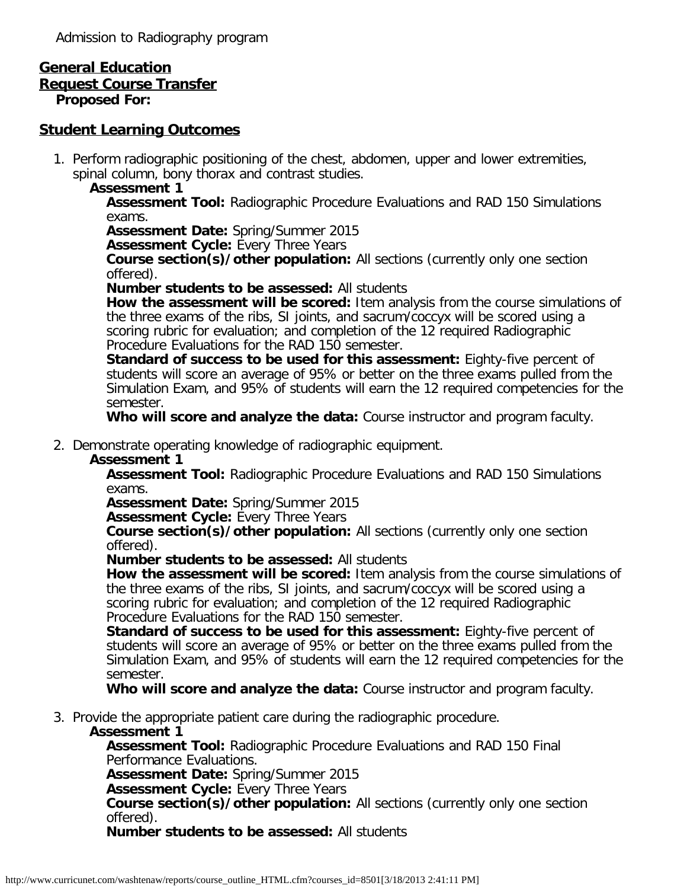Admission to Radiography program

# **General Education**

### **Request Course Transfer**

**Proposed For:**

## **Student Learning Outcomes**

1. Perform radiographic positioning of the chest, abdomen, upper and lower extremities, spinal column, bony thorax and contrast studies.

### **Assessment 1**

**Assessment Tool:** Radiographic Procedure Evaluations and RAD 150 Simulations exams.

**Assessment Date:** Spring/Summer 2015

**Assessment Cycle: Every Three Years** 

**Course section(s)/other population:** All sections (currently only one section offered).

**Number students to be assessed:** All students

**How the assessment will be scored:** Item analysis from the course simulations of the three exams of the ribs, SI joints, and sacrum/coccyx will be scored using a scoring rubric for evaluation; and completion of the 12 required Radiographic Procedure Evaluations for the RAD 150 semester.

**Standard of success to be used for this assessment:** Eighty-five percent of students will score an average of 95% or better on the three exams pulled from the Simulation Exam, and 95% of students will earn the 12 required competencies for the semester.

**Who will score and analyze the data:** Course instructor and program faculty.

### 2. Demonstrate operating knowledge of radiographic equipment.

#### **Assessment 1**

**Assessment Tool:** Radiographic Procedure Evaluations and RAD 150 Simulations exams.

**Assessment Date:** Spring/Summer 2015

**Assessment Cycle: Every Three Years** 

**Course section(s)/other population:** All sections (currently only one section offered).

**Number students to be assessed:** All students

**How the assessment will be scored:** Item analysis from the course simulations of the three exams of the ribs, SI joints, and sacrum/coccyx will be scored using a scoring rubric for evaluation; and completion of the 12 required Radiographic Procedure Evaluations for the RAD 150 semester.

**Standard of success to be used for this assessment:** Eighty-five percent of students will score an average of 95% or better on the three exams pulled from the Simulation Exam, and 95% of students will earn the 12 required competencies for the semester.

**Who will score and analyze the data:** Course instructor and program faculty.

3. Provide the appropriate patient care during the radiographic procedure.

#### **Assessment 1**

**Assessment Tool:** Radiographic Procedure Evaluations and RAD 150 Final Performance Evaluations.

**Assessment Date:** Spring/Summer 2015

**Assessment Cycle:** Every Three Years

**Course section(s)/other population:** All sections (currently only one section offered).

**Number students to be assessed:** All students